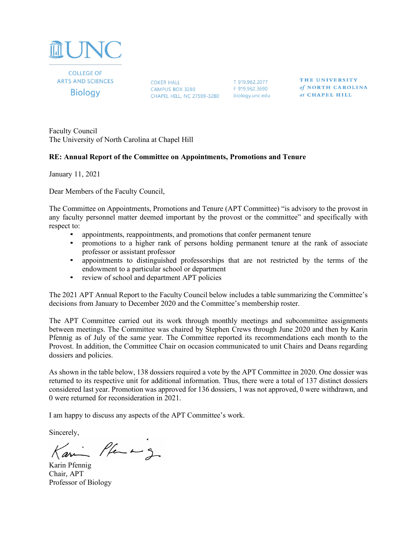

**COLLEGE OF ARTS AND SCIENCES Biology** 

COKER HALL T 919.962.2077<br>CAMPUS BOX 3280 F 919.962.3690 CHAPEL HILL, NC 27599-3280 biology.unc.edu

THE UNIVERSITY of NORTH CAROLINA at CHAPEL HILL

Faculty Council The University of North Carolina at Chapel Hill

## **RE: Annual Report of the Committee on Appointments, Promotions and Tenure**

January 11, 2021

Dear Members of the Faculty Council,

The Committee on Appointments, Promotions and Tenure (APT Committee) "is advisory to the provost in any faculty personnel matter deemed important by the provost or the committee" and specifically with respect to:

- appointments, reappointments, and promotions that confer permanent tenure
- promotions to a higher rank of persons holding permanent tenure at the rank of associate professor or assistant professor
- appointments to distinguished professorships that are not restricted by the terms of the endowment to a particular school or department
- review of school and department APT policies

The 2021 APT Annual Report to the Faculty Council below includes a table summarizing the Committee's decisions from January to December 2020 and the Committee's membership roster.

The APT Committee carried out its work through monthly meetings and subcommittee assignments between meetings. The Committee was chaired by Stephen Crews through June 2020 and then by Karin Pfennig as of July of the same year. The Committee reported its recommendations each month to the Provost. In addition, the Committee Chair on occasion communicated to unit Chairs and Deans regarding dossiers and policies.

As shown in the table below, 138 dossiers required a vote by the APT Committee in 2020. One dossier was returned to its respective unit for additional information. Thus, there were a total of 137 distinct dossiers considered last year. Promotion was approved for 136 dossiers, 1 was not approved, 0 were withdrawn, and 0 were returned for reconsideration in 2021.

I am happy to discuss any aspects of the APT Committee's work.

Sincerely,

Kari Pfen mg

Karin Pfennig Chair, APT Professor of Biology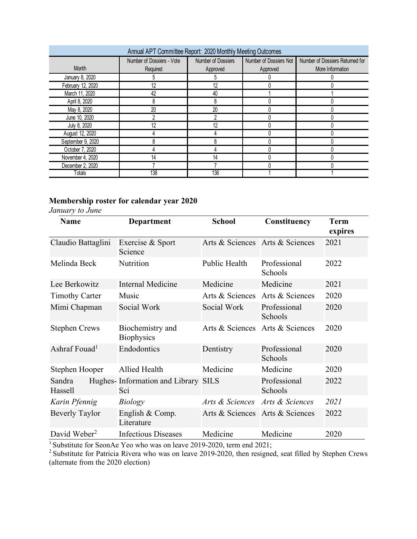| Annual APT Committee Report: 2020 Monthly Meeting Outcomes |                           |                    |                        |                                 |  |  |  |
|------------------------------------------------------------|---------------------------|--------------------|------------------------|---------------------------------|--|--|--|
|                                                            | Number of Dossiers - Vote | Number of Dossiers | Number of Dossiers Not | Number of Dossiers Returned for |  |  |  |
| <b>Month</b>                                               | Required                  | Approved           | Approved               | More Information                |  |  |  |
| January 8, 2020                                            | 5                         |                    |                        |                                 |  |  |  |
| February 12, 2020                                          | 12                        | 12                 |                        |                                 |  |  |  |
| March 11, 2020                                             | 42                        | 40                 |                        |                                 |  |  |  |
| April 8, 2020                                              | 8                         |                    |                        |                                 |  |  |  |
| May 8, 2020                                                | 20                        | 20                 |                        |                                 |  |  |  |
| June 10, 2020                                              |                           |                    |                        |                                 |  |  |  |
| July 8, 2020                                               | 12                        | 12                 |                        |                                 |  |  |  |
| August 12, 2020                                            |                           |                    |                        |                                 |  |  |  |
| September 9, 2020                                          |                           |                    |                        |                                 |  |  |  |
| October 7, 2020                                            |                           |                    |                        |                                 |  |  |  |
| November 4, 2020                                           | 14                        | 14                 |                        |                                 |  |  |  |
| December 2, 2020                                           |                           |                    |                        |                                 |  |  |  |
| Totals                                                     | 138                       | 136                |                        |                                 |  |  |  |

## **Membership roster for calendar year 2020**

*January to June*

| <b>Name</b>               | <b>Department</b>                          | <b>School</b>                   | Constituency            | <b>Term</b> |
|---------------------------|--------------------------------------------|---------------------------------|-------------------------|-------------|
|                           |                                            |                                 |                         | expires     |
| Claudio Battaglini        | Exercise & Sport<br>Science                | Arts & Sciences Arts & Sciences |                         | 2021        |
| Melinda Beck              | Nutrition                                  | Public Health                   | Professional<br>Schools | 2022        |
| Lee Berkowitz             | <b>Internal Medicine</b>                   | Medicine                        | Medicine                | 2021        |
| <b>Timothy Carter</b>     | Music                                      | Arts & Sciences                 | Arts & Sciences         | 2020        |
| Mimi Chapman              | Social Work                                | Social Work                     | Professional<br>Schools | 2020        |
| <b>Stephen Crews</b>      | Biochemistry and<br><b>Biophysics</b>      | Arts & Sciences                 | Arts & Sciences         | 2020        |
| Ashraf Fouad <sup>1</sup> | Endodontics                                | Dentistry                       | Professional<br>Schools | 2020        |
| Stephen Hooper            | Allied Health                              | Medicine                        | Medicine                | 2020        |
| Sandra<br>Hassell         | Hughes-Information and Library SILS<br>Sci |                                 | Professional<br>Schools | 2022        |
| Karin Pfennig             | <b>Biology</b>                             | Arts & Sciences                 | Arts & Sciences         | 2021        |
| <b>Beverly Taylor</b>     | English & Comp.<br>Literature              | Arts & Sciences Arts & Sciences |                         | 2022        |
| David Weber <sup>2</sup>  | <b>Infectious Diseases</b>                 | Medicine                        | Medicine                | 2020        |

<sup>1</sup> Substitute for SeonAe Yeo who was on leave 2019-2020, term end 2021;

 $2^2$  Substitute for Patricia Rivera who was on leave 2019-2020, then resigned, seat filled by Stephen Crews (alternate from the 2020 election)